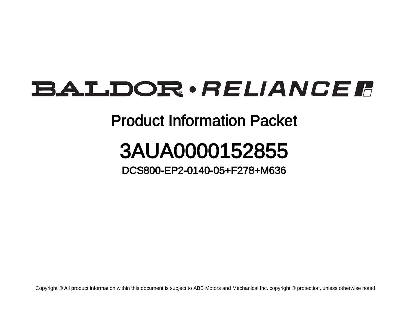## **BALDOR** · RELIANCE F

### Product Information Packet

# 3AUA0000152855

#### DCS800-EP2-0140-05+F278+M636

Copyright © All product information within this document is subject to ABB Motors and Mechanical Inc. copyright © protection, unless otherwise noted.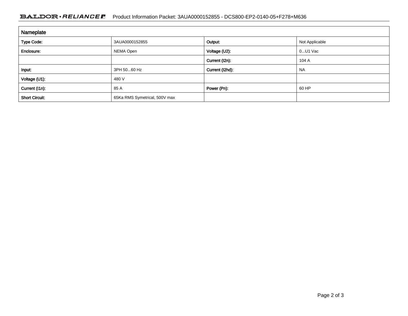#### BALDOR · RELIANCE F Product Information Packet: 3AUA0000152855 - DCS800-EP2-0140-05+F278+M636

| Nameplate             |                               |                 |                |
|-----------------------|-------------------------------|-----------------|----------------|
| <b>Type Code:</b>     | 3AUA0000152855                | Output:         | Not Applicable |
| Enclosure:            | NEMA Open                     | Voltage (U2):   | 0U1 Vac        |
|                       |                               | Current (I2n):  | 104 A          |
| Input:                | 3PH 5060 Hz                   | Current (I2hd): | <b>NA</b>      |
| Voltage (U1):         | 480 V                         |                 |                |
| Current (I1n):        | 85 A                          | Power (Pn):     | 60 HP          |
| <b>Short Circuit:</b> | 65Ka RMS Symetrical, 500V max |                 |                |